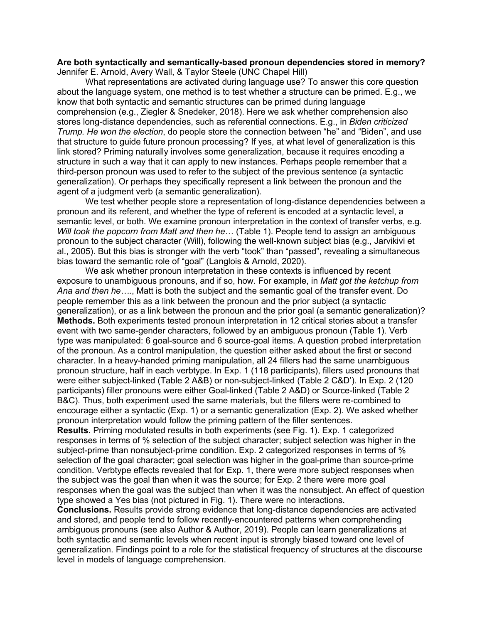## **Are both syntactically and semantically-based pronoun dependencies stored in memory?** Jennifer E. Arnold, Avery Wall, & Taylor Steele (UNC Chapel Hill)

What representations are activated during language use? To answer this core question about the language system, one method is to test whether a structure can be primed. E.g., we know that both syntactic and semantic structures can be primed during language comprehension (e.g., Ziegler & Snedeker, 2018). Here we ask whether comprehension also stores long-distance dependencies, such as referential connections. E.g., in *Biden criticized Trump. He won the election*, do people store the connection between "he" and "Biden", and use that structure to guide future pronoun processing? If yes, at what level of generalization is this link stored? Priming naturally involves some generalization, because it requires encoding a structure in such a way that it can apply to new instances. Perhaps people remember that a third-person pronoun was used to refer to the subject of the previous sentence (a syntactic generalization). Or perhaps they specifically represent a link between the pronoun and the agent of a judgment verb (a semantic generalization).

We test whether people store a representation of long-distance dependencies between a pronoun and its referent, and whether the type of referent is encoded at a syntactic level, a semantic level, or both. We examine pronoun interpretation in the context of transfer verbs, e.g. *Will took the popcorn from Matt and then he*… (Table 1). People tend to assign an ambiguous pronoun to the subject character (Will), following the well-known subject bias (e.g., Jarvikivi et al., 2005). But this bias is stronger with the verb "took" than "passed", revealing a simultaneous bias toward the semantic role of "goal" (Langlois & Arnold, 2020).

We ask whether pronoun interpretation in these contexts is influenced by recent exposure to unambiguous pronouns, and if so, how. For example, in *Matt got the ketchup from Ana and then he….*, Matt is both the subject and the semantic goal of the transfer event. Do people remember this as a link between the pronoun and the prior subject (a syntactic generalization), or as a link between the pronoun and the prior goal (a semantic generalization)? **Methods.** Both experiments tested pronoun interpretation in 12 critical stories about a transfer event with two same-gender characters, followed by an ambiguous pronoun (Table 1). Verb type was manipulated: 6 goal-source and 6 source-goal items. A question probed interpretation of the pronoun. As a control manipulation, the question either asked about the first or second character. In a heavy-handed priming manipulation, all 24 fillers had the same unambiguous pronoun structure, half in each verbtype. In Exp. 1 (118 participants), fillers used pronouns that were either subject-linked (Table 2 A&B) or non-subject-linked (Table 2 C&D'). In Exp. 2 (120 participants) filler pronouns were either Goal-linked (Table 2 A&D) or Source-linked (Table 2 B&C). Thus, both experiment used the same materials, but the fillers were re-combined to encourage either a syntactic (Exp. 1) or a semantic generalization (Exp. 2). We asked whether pronoun interpretation would follow the priming pattern of the filler sentences.

**Results.** Priming modulated results in both experiments (see Fig. 1). Exp. 1 categorized responses in terms of % selection of the subject character; subject selection was higher in the subject-prime than nonsubject-prime condition. Exp. 2 categorized responses in terms of % selection of the goal character; goal selection was higher in the goal-prime than source-prime condition. Verbtype effects revealed that for Exp. 1, there were more subject responses when the subject was the goal than when it was the source; for Exp. 2 there were more goal responses when the goal was the subject than when it was the nonsubject. An effect of question type showed a Yes bias (not pictured in Fig. 1). There were no interactions.

**Conclusions.** Results provide strong evidence that long-distance dependencies are activated and stored, and people tend to follow recently-encountered patterns when comprehending ambiguous pronouns (see also Author & Author, 2019). People can learn generalizations at both syntactic and semantic levels when recent input is strongly biased toward one level of generalization. Findings point to a role for the statistical frequency of structures at the discourse level in models of language comprehension.